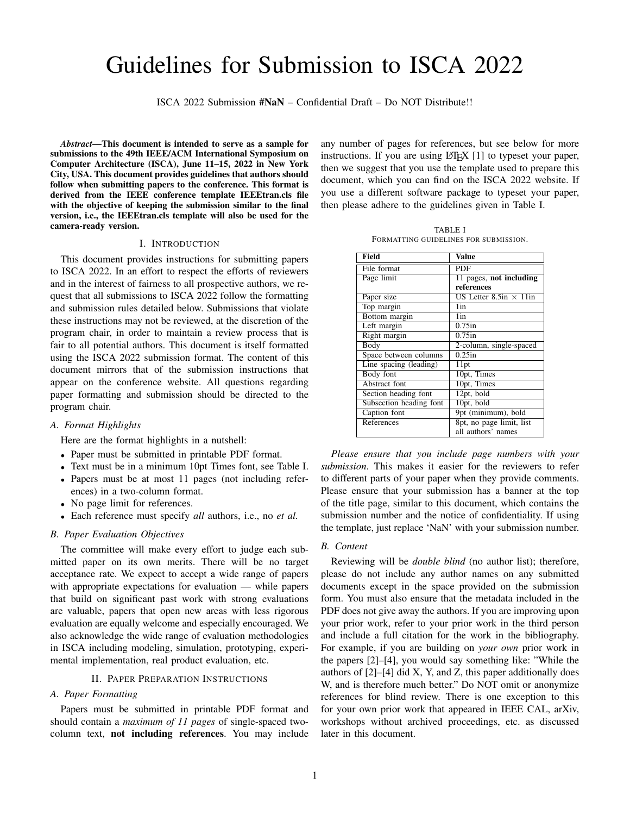# Guidelines for Submission to ISCA 2022

ISCA 2022 Submission #NaN – Confidential Draft – Do NOT Distribute!!

*Abstract*—This document is intended to serve as a sample for submissions to the 49th IEEE/ACM International Symposium on Computer Architecture (ISCA), June 11–15, 2022 in New York City, USA. This document provides guidelines that authors should follow when submitting papers to the conference. This format is derived from the IEEE conference template IEEEtran.cls file with the objective of keeping the submission similar to the final version, i.e., the IEEEtran.cls template will also be used for the camera-ready version.

#### I. INTRODUCTION

This document provides instructions for submitting papers to ISCA 2022. In an effort to respect the efforts of reviewers and in the interest of fairness to all prospective authors, we request that all submissions to ISCA 2022 follow the formatting and submission rules detailed below. Submissions that violate these instructions may not be reviewed, at the discretion of the program chair, in order to maintain a review process that is fair to all potential authors. This document is itself formatted using the ISCA 2022 submission format. The content of this document mirrors that of the submission instructions that appear on the conference website. All questions regarding paper formatting and submission should be directed to the program chair.

# *A. Format Highlights*

Here are the format highlights in a nutshell:

- Paper must be submitted in printable PDF format.
- Text must be in a minimum 10pt Times font, see Table I.
- Papers must be at most 11 pages (not including references) in a two-column format.
- No page limit for references.
- Each reference must specify *all* authors, i.e., no *et al.*

# *B. Paper Evaluation Objectives*

The committee will make every effort to judge each submitted paper on its own merits. There will be no target acceptance rate. We expect to accept a wide range of papers with appropriate expectations for evaluation — while papers that build on significant past work with strong evaluations are valuable, papers that open new areas with less rigorous evaluation are equally welcome and especially encouraged. We also acknowledge the wide range of evaluation methodologies in ISCA including modeling, simulation, prototyping, experimental implementation, real product evaluation, etc.

# II. PAPER PREPARATION INSTRUCTIONS

#### *A. Paper Formatting*

Papers must be submitted in printable PDF format and should contain a *maximum of 11 pages* of single-spaced twocolumn text, not including references. You may include

any number of pages for references, but see below for more instructions. If you are using LAT<sub>EX</sub> [1] to typeset your paper, then we suggest that you use the template used to prepare this document, which you can find on the ISCA 2022 website. If you use a different software package to typeset your paper, then please adhere to the guidelines given in Table I.

TABLE I FORMATTING GUIDELINES FOR SUBMISSION.

| Field                   | Value                         |
|-------------------------|-------------------------------|
| File format             | PDF                           |
| Page limit              | 11 pages, not including       |
|                         | references                    |
| Paper size              | US Letter 8.5in $\times$ 11in |
| Top margin              | 1in                           |
| Bottom margin           | 1in                           |
| Left margin             | $0.75$ in                     |
| Right margin            | $0.75$ in                     |
| Body                    | 2-column, single-spaced       |
| Space between columns   | $0.25$ in                     |
| Line spacing (leading)  | 11pt                          |
| Body font               | 10pt, Times                   |
| Abstract font           | 10pt, Times                   |
| Section heading font    | 12pt, bold                    |
| Subsection heading font | 10pt, bold                    |
| Caption font            | 9pt (minimum), bold           |
| References              | 8pt, no page limit, list      |
|                         | all authors' names            |

*Please ensure that you include page numbers with your submission*. This makes it easier for the reviewers to refer to different parts of your paper when they provide comments. Please ensure that your submission has a banner at the top of the title page, similar to this document, which contains the submission number and the notice of confidentiality. If using the template, just replace 'NaN' with your submission number.

#### *B. Content*

Reviewing will be *double blind* (no author list); therefore, please do not include any author names on any submitted documents except in the space provided on the submission form. You must also ensure that the metadata included in the PDF does not give away the authors. If you are improving upon your prior work, refer to your prior work in the third person and include a full citation for the work in the bibliography. For example, if you are building on *your own* prior work in the papers [2]–[4], you would say something like: "While the authors of  $[2]$ – $[4]$  did X, Y, and Z, this paper additionally does W, and is therefore much better." Do NOT omit or anonymize references for blind review. There is one exception to this for your own prior work that appeared in IEEE CAL, arXiv, workshops without archived proceedings, etc. as discussed later in this document.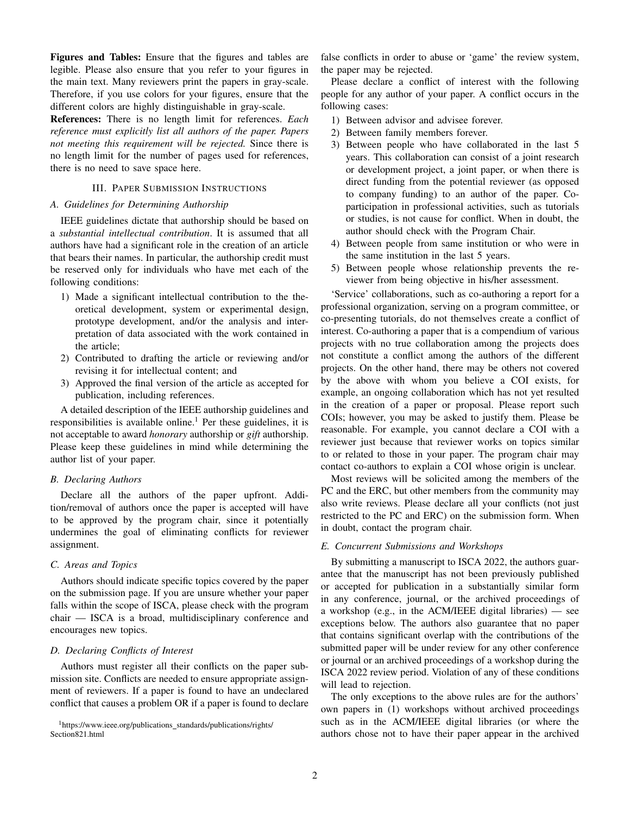Figures and Tables: Ensure that the figures and tables are legible. Please also ensure that you refer to your figures in the main text. Many reviewers print the papers in gray-scale. Therefore, if you use colors for your figures, ensure that the different colors are highly distinguishable in gray-scale.

References: There is no length limit for references. *Each reference must explicitly list all authors of the paper. Papers not meeting this requirement will be rejected.* Since there is no length limit for the number of pages used for references, there is no need to save space here.

# III. PAPER SUBMISSION INSTRUCTIONS

#### *A. Guidelines for Determining Authorship*

IEEE guidelines dictate that authorship should be based on a *substantial intellectual contribution*. It is assumed that all authors have had a significant role in the creation of an article that bears their names. In particular, the authorship credit must be reserved only for individuals who have met each of the following conditions:

- 1) Made a significant intellectual contribution to the theoretical development, system or experimental design, prototype development, and/or the analysis and interpretation of data associated with the work contained in the article;
- 2) Contributed to drafting the article or reviewing and/or revising it for intellectual content; and
- 3) Approved the final version of the article as accepted for publication, including references.

A detailed description of the IEEE authorship guidelines and responsibilities is available online.<sup>1</sup> Per these guidelines, it is not acceptable to award *honorary* authorship or *gift* authorship. Please keep these guidelines in mind while determining the author list of your paper.

# *B. Declaring Authors*

Declare all the authors of the paper upfront. Addition/removal of authors once the paper is accepted will have to be approved by the program chair, since it potentially undermines the goal of eliminating conflicts for reviewer assignment.

# *C. Areas and Topics*

Authors should indicate specific topics covered by the paper on the submission page. If you are unsure whether your paper falls within the scope of ISCA, please check with the program chair — ISCA is a broad, multidisciplinary conference and encourages new topics.

# *D. Declaring Conflicts of Interest*

Authors must register all their conflicts on the paper submission site. Conflicts are needed to ensure appropriate assignment of reviewers. If a paper is found to have an undeclared conflict that causes a problem OR if a paper is found to declare

<sup>1</sup>https://www.ieee.org/publications\_standards/publications/rights/ Section<sub>821</sub> html

false conflicts in order to abuse or 'game' the review system, the paper may be rejected.

Please declare a conflict of interest with the following people for any author of your paper. A conflict occurs in the following cases:

- 1) Between advisor and advisee forever.
- 2) Between family members forever.
- 3) Between people who have collaborated in the last 5 years. This collaboration can consist of a joint research or development project, a joint paper, or when there is direct funding from the potential reviewer (as opposed to company funding) to an author of the paper. Coparticipation in professional activities, such as tutorials or studies, is not cause for conflict. When in doubt, the author should check with the Program Chair.
- 4) Between people from same institution or who were in the same institution in the last 5 years.
- 5) Between people whose relationship prevents the reviewer from being objective in his/her assessment.

'Service' collaborations, such as co-authoring a report for a professional organization, serving on a program committee, or co-presenting tutorials, do not themselves create a conflict of interest. Co-authoring a paper that is a compendium of various projects with no true collaboration among the projects does not constitute a conflict among the authors of the different projects. On the other hand, there may be others not covered by the above with whom you believe a COI exists, for example, an ongoing collaboration which has not yet resulted in the creation of a paper or proposal. Please report such COIs; however, you may be asked to justify them. Please be reasonable. For example, you cannot declare a COI with a reviewer just because that reviewer works on topics similar to or related to those in your paper. The program chair may contact co-authors to explain a COI whose origin is unclear.

Most reviews will be solicited among the members of the PC and the ERC, but other members from the community may also write reviews. Please declare all your conflicts (not just restricted to the PC and ERC) on the submission form. When in doubt, contact the program chair.

#### *E. Concurrent Submissions and Workshops*

By submitting a manuscript to ISCA 2022, the authors guarantee that the manuscript has not been previously published or accepted for publication in a substantially similar form in any conference, journal, or the archived proceedings of a workshop (e.g., in the ACM/IEEE digital libraries) — see exceptions below. The authors also guarantee that no paper that contains significant overlap with the contributions of the submitted paper will be under review for any other conference or journal or an archived proceedings of a workshop during the ISCA 2022 review period. Violation of any of these conditions will lead to rejection.

The only exceptions to the above rules are for the authors' own papers in (1) workshops without archived proceedings such as in the ACM/IEEE digital libraries (or where the authors chose not to have their paper appear in the archived